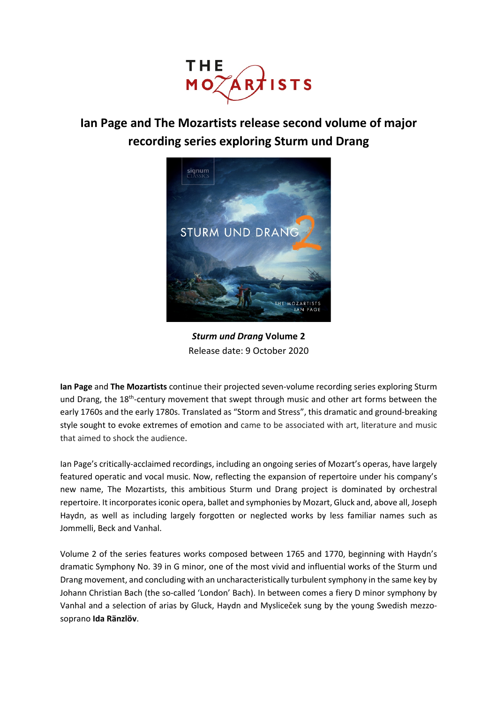

# **Ian Page and The Mozartists release second volume of major recording series exploring Sturm und Drang**



*Sturm und Drang* **Volume 2** Release date: 9 October 2020

**Ian Page** and **The Mozartists** continue their projected seven-volume recording series exploring Sturm und Drang, the 18<sup>th</sup>-century movement that swept through music and other art forms between the early 1760s and the early 1780s. Translated as "Storm and Stress", this dramatic and ground-breaking style sought to evoke extremes of emotion and came to be associated with art, literature and music that aimed to shock the audience.

Ian Page's critically-acclaimed recordings, including an ongoing series of Mozart's operas, have largely featured operatic and vocal music. Now, reflecting the expansion of repertoire under his company's new name, The Mozartists, this ambitious Sturm und Drang project is dominated by orchestral repertoire. It incorporates iconic opera, ballet and symphonies by Mozart, Gluck and, above all, Joseph Haydn, as well as including largely forgotten or neglected works by less familiar names such as Jommelli, Beck and Vanhal.

Volume 2 of the series features works composed between 1765 and 1770, beginning with Haydn's dramatic Symphony No. 39 in G minor, one of the most vivid and influential works of the Sturm und Drang movement, and concluding with an uncharacteristically turbulent symphony in the same key by Johann Christian Bach (the so-called 'London' Bach). In between comes a fiery D minor symphony by Vanhal and a selection of arias by Gluck, Haydn and Mysliceček sung by the young Swedish mezzosoprano **Ida Ränzlöv**.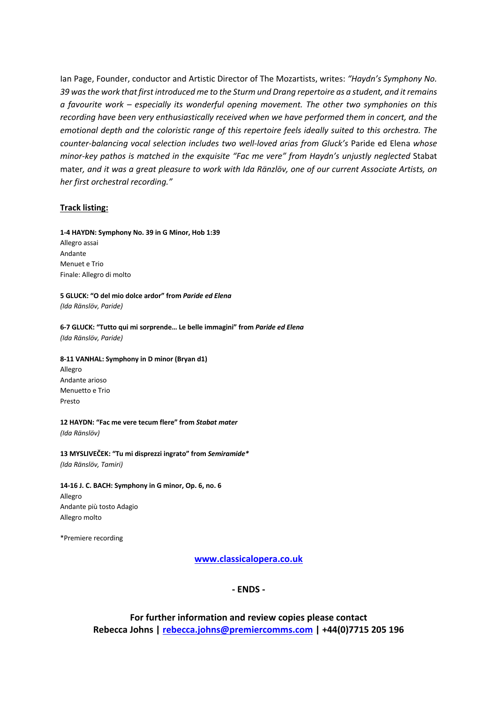Ian Page, Founder, conductor and Artistic Director of The Mozartists, writes: *"Haydn's Symphony No. 39 was the work that first introduced me to the Sturm und Drang repertoire as a student, and it remains a favourite work – especially its wonderful opening movement. The other two symphonies on this recording have been very enthusiastically received when we have performed them in concert, and the emotional depth and the coloristic range of this repertoire feels ideally suited to this orchestra. The counter-balancing vocal selection includes two well-loved arias from Gluck's* Paride ed Elena *whose minor-key pathos is matched in the exquisite "Fac me vere" from Haydn's unjustly neglected* Stabat mater*, and it was a great pleasure to work with Ida Ränzlöv, one of our current Associate Artists, on her first orchestral recording."*

#### **Track listing:**

**1-4 HAYDN: Symphony No. 39 in G Minor, Hob 1:39** Allegro assai Andante Menuet e Trio Finale: Allegro di molto

**5 GLUCK: "O del mio dolce ardor" from** *Paride ed Elena (Ida Ränslöv, Paride)*

**6-7 GLUCK: "Tutto qui mi sorprende… Le belle immagini" from** *Paride ed Elena (Ida Ränslöv, Paride)*

**8-11 VANHAL: Symphony in D minor (Bryan d1)** Allegro

Andante arioso Menuetto e Trio Presto

**12 HAYDN: "Fac me vere tecum flere" from** *Stabat mater (Ida Ränslöv)*

**13 MYSLIVEČEK: "Tu mi disprezzi ingrato" from** *Semiramide\* (Ida Ränslöv, Tamiri)*

**14-16 J. C. BACH: Symphony in G minor, Op. 6, no. 6** Allegro Andante più tosto Adagio Allegro molto

\*Premiere recording

**www.classicalopera.co.uk**

**- ENDS -**

**For further information and review copies please contact Rebecca Johns | rebecca.johns@premiercomms.com | +44(0)7715 205 196**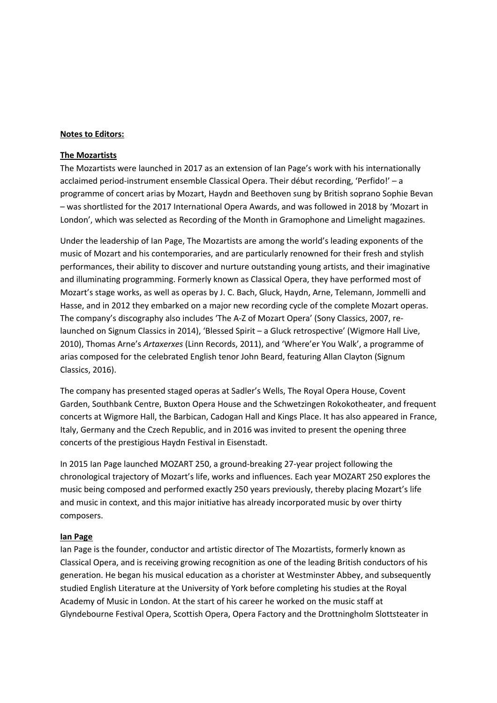## **Notes to Editors:**

### **The Mozartists**

The Mozartists were launched in 2017 as an extension of Ian Page's work with his internationally acclaimed period-instrument ensemble Classical Opera. Their début recording, 'Perfido!' – a programme of concert arias by Mozart, Haydn and Beethoven sung by British soprano Sophie Bevan – was shortlisted for the 2017 International Opera Awards, and was followed in 2018 by 'Mozart in London', which was selected as Recording of the Month in Gramophone and Limelight magazines.

Under the leadership of Ian Page, The Mozartists are among the world's leading exponents of the music of Mozart and his contemporaries, and are particularly renowned for their fresh and stylish performances, their ability to discover and nurture outstanding young artists, and their imaginative and illuminating programming. Formerly known as Classical Opera, they have performed most of Mozart's stage works, as well as operas by J. C. Bach, Gluck, Haydn, Arne, Telemann, Jommelli and Hasse, and in 2012 they embarked on a major new recording cycle of the complete Mozart operas. The company's discography also includes 'The A-Z of Mozart Opera' (Sony Classics, 2007, relaunched on Signum Classics in 2014), 'Blessed Spirit – a Gluck retrospective' (Wigmore Hall Live, 2010), Thomas Arne's *Artaxerxes* (Linn Records, 2011), and 'Where'er You Walk', a programme of arias composed for the celebrated English tenor John Beard, featuring Allan Clayton (Signum Classics, 2016).

The company has presented staged operas at Sadler's Wells, The Royal Opera House, Covent Garden, Southbank Centre, Buxton Opera House and the Schwetzingen Rokokotheater, and frequent concerts at Wigmore Hall, the Barbican, Cadogan Hall and Kings Place. It has also appeared in France, Italy, Germany and the Czech Republic, and in 2016 was invited to present the opening three concerts of the prestigious Haydn Festival in Eisenstadt.

In 2015 Ian Page launched MOZART 250, a ground-breaking 27-year project following the chronological trajectory of Mozart's life, works and influences. Each year MOZART 250 explores the music being composed and performed exactly 250 years previously, thereby placing Mozart's life and music in context, and this major initiative has already incorporated music by over thirty composers.

#### **Ian Page**

Ian Page is the founder, conductor and artistic director of The Mozartists, formerly known as Classical Opera, and is receiving growing recognition as one of the leading British conductors of his generation. He began his musical education as a chorister at Westminster Abbey, and subsequently studied English Literature at the University of York before completing his studies at the Royal Academy of Music in London. At the start of his career he worked on the music staff at Glyndebourne Festival Opera, Scottish Opera, Opera Factory and the Drottningholm Slottsteater in